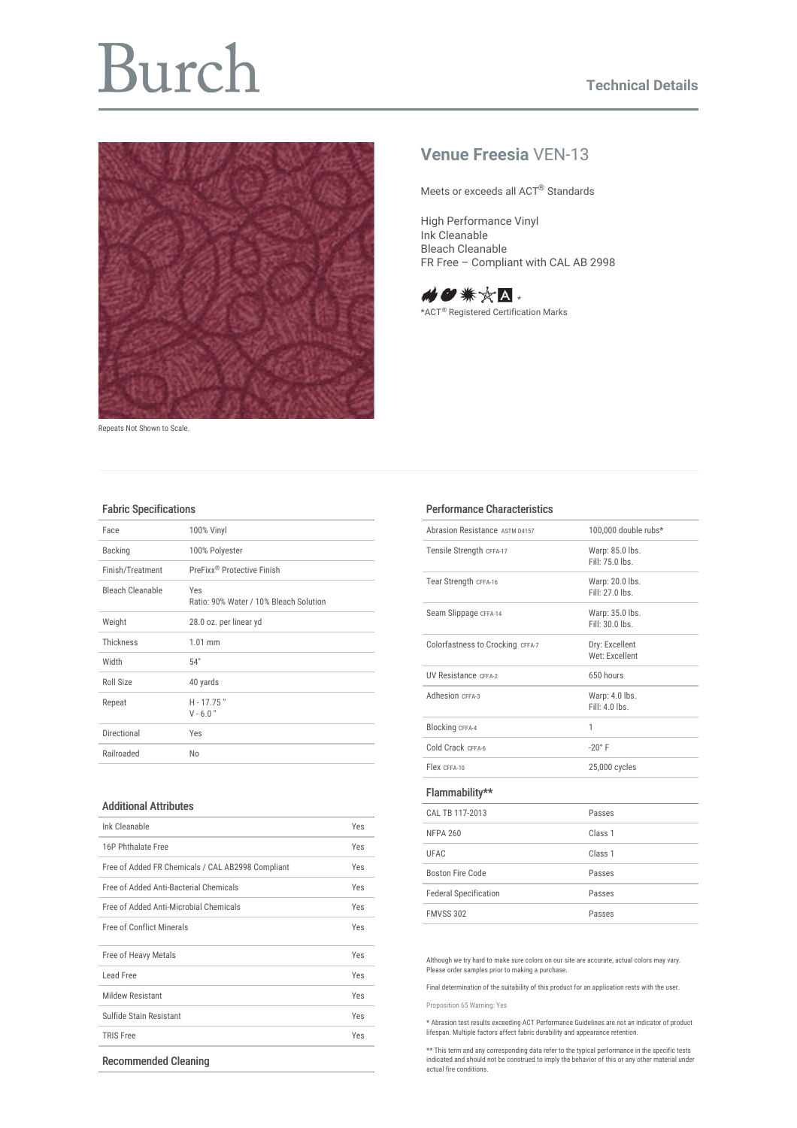# Burch



Repeats Not Shown to Scale.

## **Venue Freesia** VEN-13

Meets or exceeds all ACT® Standards

High Performance Vinyl Ink Cleanable Bleach Cleanable FR Free – Compliant with CAL AB 2998



\*ACT<sup>®</sup> Registered Certification Marks

#### Fabric Specifications

| Face             | 100% Vinyl                                    |
|------------------|-----------------------------------------------|
| <b>Backing</b>   | 100% Polyester                                |
| Finish/Treatment | PreFixx <sup>®</sup> Protective Finish        |
| Bleach Cleanable | Yes<br>Ratio: 90% Water / 10% Bleach Solution |
| Weight           | 28.0 oz. per linear yd                        |
| Thickness        | $1.01$ mm                                     |
| Width            | 54"                                           |
| Roll Size        | 40 yards                                      |
| Repeat           | $H - 17.75$ "<br>$V - 6.0"$                   |
| Directional      | Yes                                           |
| Railroaded       | No                                            |

#### Additional Attributes

| Ink Cleanable                                     |     |  |  |
|---------------------------------------------------|-----|--|--|
| 16P Phthalate Free                                | Yes |  |  |
| Free of Added FR Chemicals / CAL AB2998 Compliant | Yes |  |  |
| Free of Added Anti-Bacterial Chemicals            | Yes |  |  |
| Free of Added Anti-Microbial Chemicals            | Yes |  |  |
| <b>Free of Conflict Minerals</b>                  | Yes |  |  |
| Free of Heavy Metals                              | Yes |  |  |
| Lead Free                                         | Yes |  |  |
| <b>Mildew Resistant</b>                           | Yes |  |  |
| Sulfide Stain Resistant                           | Yes |  |  |
| <b>TRIS Free</b>                                  | Yes |  |  |
| <b>Recommended Cleaning</b>                       |     |  |  |

### Performance Characteristics

| Ahrasion Resistance ASTM 04157   | 100.000 double rubs* |
|----------------------------------|----------------------|
| Tensile Strength CFFA-17         | Warp: 85.0 lbs.      |
|                                  | Fill: 75.0 lbs.      |
| Tear Strength CFFA-16            | Warp: 20.0 lbs.      |
|                                  | Fill: 27.0 lbs.      |
| Seam Slippage CFFA-14            | Warp: 35.0 lbs.      |
|                                  | Fill: 30.0 lbs.      |
| Colorfastness to Crocking CFFA-7 | Dry: Excellent       |
|                                  | Wet: Excellent       |
| <b>UV Resistance CFFA-2</b>      | 650 hours            |
| Adhesion CEEA-3                  | Warp: 4.0 lbs.       |
|                                  | $Fill: 4.0$ lhs      |
| <b>Blocking CFFA-4</b>           | 1                    |
| Cold Crack CFFA-6                | $-20^\circ$ F        |
| Flex CFFA-10                     | 25,000 cycles        |
| Flammability**                   |                      |
| CAL TB 117-2013                  | Passes               |
| <b>NFPA 260</b>                  | Class <sub>1</sub>   |
| UFAC                             | Class <sub>1</sub>   |
| Boston Fire Code                 | Passes               |
| <b>Federal Specification</b>     | Passes               |
| <b>FMVSS 302</b>                 | Passes               |
|                                  |                      |

Although we try hard to make sure colors on our site are accurate, actual colors may vary. Please order samples prior to making a purchase.

Final determination of the suitability of this product for an application rests with the user.

[Proposition](file:///sites/default/files/Proposition-65.pdf) 65 Warning: Yes

\* Abrasion test results exceeding ACT Performance Guidelines are not an indicator of product lifespan. Multiple factors affect fabric durability and appearance retention.

\*\* This term and any corresponding data refer to the typical performance in the specific tests indicated and should not be construed to imply the behavior of this or any other material under actual fire conditions.